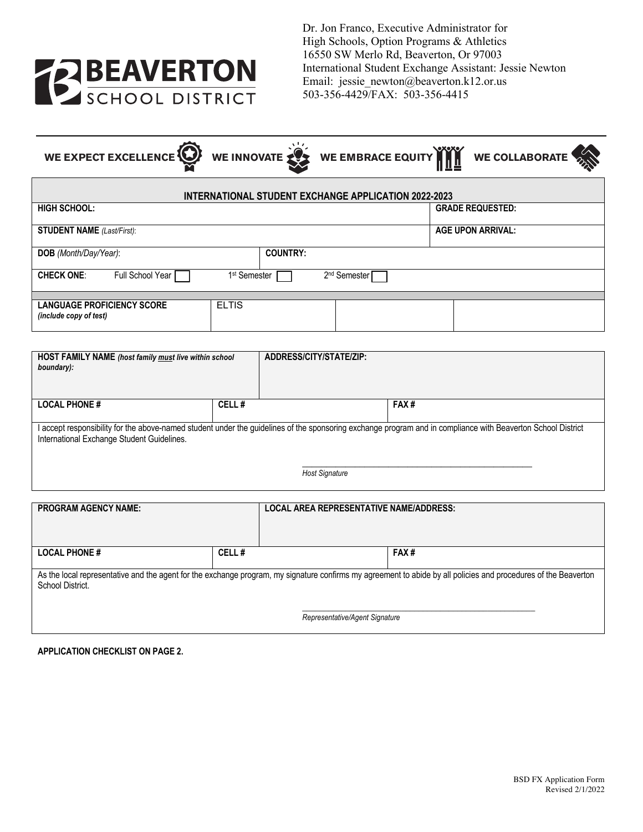

Dr. Jon Franco, Executive Administrator for High Schools, Option Programs & Athletics 16550 SW Merlo Rd, Beaverton, Or 97003 International Student Exchange Assistant: Jessie Newton Email: jessie\_newton@beaverton.k12.or.us 503-356-4429/FAX: 503-356-4415

WE EXPECT EXCELLENCE **WE INNOVATE** WE EMBRACE EQUITY **WALK** WE COLLABORATE

| INTERNATIONAL STUDENT EXCHANGE APPLICATION 2022-2023        |                          |                          |  |  |  |  |
|-------------------------------------------------------------|--------------------------|--------------------------|--|--|--|--|
| <b>HIGH SCHOOL:</b>                                         |                          | <b>GRADE REQUESTED:</b>  |  |  |  |  |
| <b>STUDENT NAME</b> (Last/First):                           |                          | <b>AGE UPON ARRIVAL:</b> |  |  |  |  |
| DOB (Month/Day/Year):                                       | <b>COUNTRY:</b>          |                          |  |  |  |  |
| <b>CHECK ONE:</b><br>Full School Year                       | 1 <sup>st</sup> Semester | 2 <sup>nd</sup> Semester |  |  |  |  |
|                                                             |                          |                          |  |  |  |  |
| <b>LANGUAGE PROFICIENCY SCORE</b><br>(include copy of test) | <b>ELTIS</b>             |                          |  |  |  |  |

| <b>HOST FAMILY NAME</b> (host family must live within school<br>boundary):                                                                                                                                                          |       | ADDRESS/CITY/STATE/ZIP: |      |  |  |  |
|-------------------------------------------------------------------------------------------------------------------------------------------------------------------------------------------------------------------------------------|-------|-------------------------|------|--|--|--|
| <b>LOCAL PHONE #</b>                                                                                                                                                                                                                | CELL# |                         | FAX# |  |  |  |
| I accept responsibility for the above-named student under the guidelines of the sponsoring exchange program and in compliance with Beaverton School District<br>International Exchange Student Guidelines.<br><b>Host Signature</b> |       |                         |      |  |  |  |

| <b>PROGRAM AGENCY NAME:</b>                                                                                                                                                         |       | <b>LOCAL AREA REPRESENTATIVE NAME/ADDRESS:</b> |      |  |  |  |  |
|-------------------------------------------------------------------------------------------------------------------------------------------------------------------------------------|-------|------------------------------------------------|------|--|--|--|--|
| <b>LOCAL PHONE #</b>                                                                                                                                                                | CELL# |                                                | FAX# |  |  |  |  |
| As the local representative and the agent for the exchange program, my signature confirms my agreement to abide by all policies and procedures of the Beaverton<br>School District. |       |                                                |      |  |  |  |  |
| Representative/Agent Signature                                                                                                                                                      |       |                                                |      |  |  |  |  |

**APPLICATION CHECKLIST ON PAGE 2.**